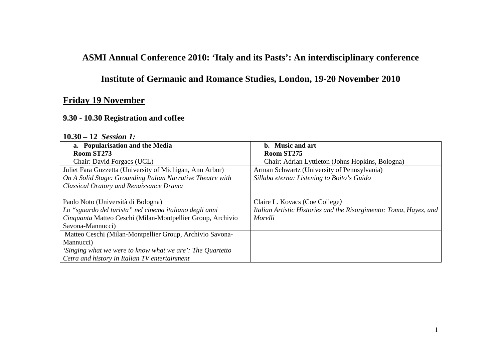## **ASMI Annual Conference 2010: 'Italy and its Pasts': An interdisciplinary conference**

## **Institute of Germanic and Romance Studies, London, 19-20 November 2010**

### **Friday 19 November**

#### **9.30 - 10.30 Registration and coffee**

## **10.30 – 12** *Session 1:*

| a. Popularisation and the Media                            | b. Music and art                                                  |
|------------------------------------------------------------|-------------------------------------------------------------------|
| Room ST273                                                 | Room ST275                                                        |
| Chair: David Forgacs (UCL)                                 | Chair: Adrian Lyttleton (Johns Hopkins, Bologna)                  |
| Juliet Fara Guzzetta (University of Michigan, Ann Arbor)   | Arman Schwartz (University of Pennsylvania)                       |
| On A Solid Stage: Grounding Italian Narrative Theatre with | Sillaba eterna: Listening to Boito's Guido                        |
| <b>Classical Oratory and Renaissance Drama</b>             |                                                                   |
|                                                            |                                                                   |
| Paolo Noto (Università di Bologna)                         | Claire L. Kovacs (Coe College)                                    |
| Lo "sguardo del turista" nel cinema italiano degli anni    | Italian Artistic Histories and the Risorgimento: Toma, Hayez, and |
| Cinquanta Matteo Ceschi (Milan-Montpellier Group, Archivio | Morelli                                                           |
| Savona-Mannucci)                                           |                                                                   |
| Matteo Ceschi (Milan-Montpellier Group, Archivio Savona-   |                                                                   |
| Mannucci)                                                  |                                                                   |
| 'Singing what we were to know what we are': The Quartetto  |                                                                   |
| Cetra and history in Italian TV entertainment              |                                                                   |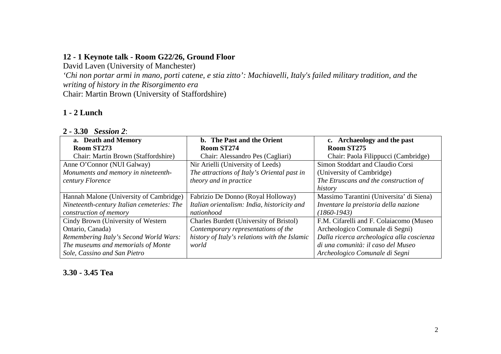#### **12 - 1 Keynote talk - Room G22/26, Ground Floor**

David Laven (University of Manchester)

 *'Chi non portar armi in mano, porti catene, e stia zitto': Machiavelli, Italy's failed military tradition, and the writing of history in the Risorgimento era*Chair: Martin Brown (University of Staffordshire)

### **1 - 2 Lunch**

| a. Death and Memory                        | b. The Past and the Orient                     | c. Archaeology and the past               |
|--------------------------------------------|------------------------------------------------|-------------------------------------------|
| Room ST273                                 | Room ST274                                     | Room ST275                                |
| Chair: Martin Brown (Staffordshire)        | Chair: Alessandro Pes (Cagliari)               | Chair: Paola Filippucci (Cambridge)       |
| Anne O'Connor (NUI Galway)                 | Nir Arielli (University of Leeds)              | Simon Stoddart and Claudio Corsi          |
| Monuments and memory in nineteenth-        | The attractions of Italy's Oriental past in    | (University of Cambridge)                 |
| century Florence                           | theory and in practice                         | The Etruscans and the construction of     |
|                                            |                                                | history                                   |
| Hannah Malone (University of Cambridge)    | Fabrizio De Donno (Royal Holloway)             | Massimo Tarantini (Universita' di Siena)  |
| Nineteenth-century Italian cemeteries: The | Italian orientalism: India, historicity and    | Inventare la preistoria della nazione     |
| construction of memory                     | nationhood                                     | $(1860 - 1943)$                           |
| Cindy Brown (University of Western)        | <b>Charles Burdett (University of Bristol)</b> | F.M. Cifarelli and F. Colaiacomo (Museo   |
| Ontario, Canada)                           | Contemporary representations of the            | Archeologico Comunale di Segni)           |
| Remembering Italy's Second World Wars:     | history of Italy's relations with the Islamic  | Dalla ricerca archeologica alla coscienza |
| The museums and memorials of Monte         | world                                          | di una comunità: il caso del Museo        |
| Sole, Cassino and San Pietro               |                                                | Archeologico Comunale di Segni            |

**3.30 - 3.45 Tea**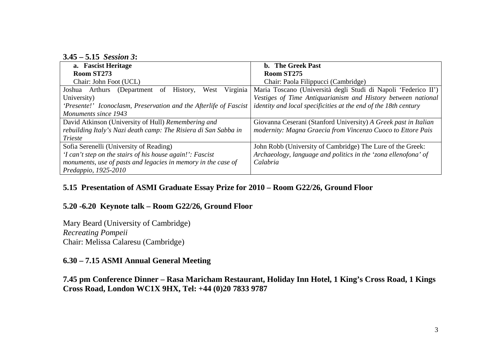**3.45 – 5.15** *Session 3***:** 

| a. Fascist Heritage                                               | <b>b.</b> The Greek Past                                               |  |
|-------------------------------------------------------------------|------------------------------------------------------------------------|--|
| Room ST273                                                        | Room ST275                                                             |  |
| Chair: John Foot (UCL)                                            | Chair: Paola Filippucci (Cambridge)                                    |  |
| Virginia<br>West<br>Joshua Arthurs<br>(Department of<br>History,  | Maria Toscano (Università degli Studi di Napoli 'Federico II')         |  |
| University)                                                       | Vestiges of Time Antiquarianism and History between national           |  |
| 'Presente!' Iconoclasm, Preservation and the Afterlife of Fascist | <i>identity and local specificities at the end of the 18th century</i> |  |
| Monuments since 1943                                              |                                                                        |  |
| David Atkinson (University of Hull) Remembering and               | Giovanna Ceserani (Stanford University) A Greek past in Italian        |  |
| rebuilding Italy's Nazi death camp: The Risiera di San Sabba in   | modernity: Magna Graecia from Vincenzo Cuoco to Ettore Pais            |  |
| <b>Trieste</b>                                                    |                                                                        |  |
| Sofia Serenelli (University of Reading)                           | John Robb (University of Cambridge) The Lure of the Greek:             |  |
| 'I can't step on the stairs of his house again!': Fascist         | Archaeology, language and politics in the 'zona ellenofona' of         |  |
| monuments, use of pasts and legacies in memory in the case of     | Calabria                                                               |  |
| Predappio, 1925-2010                                              |                                                                        |  |

# **5.15 Presentation of ASMI Graduate Essay Prize for 2010 – Room G22/26, Ground Floor**

#### **5.20 -6.20 Keynote talk – Room G22/26, Ground Floor**

Mary Beard (University of Cambridge) *Recreating Pompeii* Chair: Melissa Calaresu (Cambridge)

#### **6.30 – 7.15 ASMI Annual General Meeting**

**7.45 pm Conference Dinner – Rasa Maricham Restaurant, Holiday Inn Hotel, 1 King's Cross Road, 1 Kings Cross Road, London WC1X 9HX, Tel: +44 (0)20 7833 9787**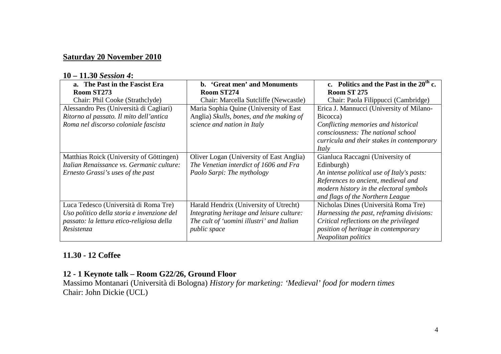#### **Saturday 20 November 2010**

#### **10 – 11.30** *Session 4***:**

| a. The Past in the Fascist Era<br>Room ST273 | b. 'Great men' and Monuments<br>Room ST274 | c. Politics and the Past in the $20th$ c.<br><b>Room ST 275</b> |
|----------------------------------------------|--------------------------------------------|-----------------------------------------------------------------|
| Chair: Phil Cooke (Strathclyde)              | Chair: Marcella Sutcliffe (Newcastle)      | Chair: Paola Filippucci (Cambridge)                             |
| Alessandro Pes (Università di Cagliari)      | Maria Sophia Quine (University of East     | Erica J. Mannucci (University of Milano-                        |
| Ritorno al passato. Il mito dell'antica      | Anglia) Skulls, bones, and the making of   | Bicocca)                                                        |
| Roma nel discorso coloniale fascista         | science and nation in Italy                | Conflicting memories and historical                             |
|                                              |                                            | consciousness: The national school                              |
|                                              |                                            | curricula and their stakes in contemporary                      |
|                                              |                                            | Italy                                                           |
| Matthias Roick (University of Göttingen)     | Oliver Logan (University of East Anglia)   | Gianluca Raccagni (University of                                |
| Italian Renaissance vs. Germanic culture:    | The Venetian interdict of 1606 and Fra     | Edinburgh)                                                      |
| Ernesto Grassi's uses of the past            | Paolo Sarpi: The mythology                 | An intense political use of Italy's pasts:                      |
|                                              |                                            | References to ancient, medieval and                             |
|                                              |                                            | modern history in the electoral symbols                         |
|                                              |                                            | and flags of the Northern League                                |
| Luca Tedesco (Università di Roma Tre)        | Harald Hendrix (University of Utrecht)     | Nicholas Dines (Università Roma Tre)                            |
| Uso politico della storia e invenzione del   | Integrating heritage and leisure culture:  | Harnessing the past, reframing divisions:                       |
| passato: la lettura etico-religiosa della    | The cult of 'uomini illustri' and Italian  | Critical reflections on the privileged                          |
| Resistenza                                   | <i>public</i> space                        | position of heritage in contemporary                            |
|                                              |                                            | Neapolitan politics                                             |

#### **11.30 - 12 Coffee**

#### **12 - 1 Keynote talk – Room G22/26, Ground Floor**

 Massimo Montanari (Università di Bologna) *History for marketing: 'Medieval' food for modern times*  Chair: John Dickie (UCL)